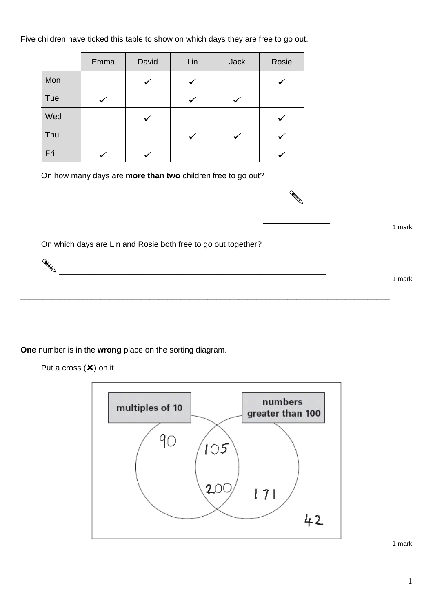Five children have ticked this table to show on which days they are free to go out.

|     | Emma | David | Lin | <b>Jack</b> | Rosie |
|-----|------|-------|-----|-------------|-------|
| Mon |      |       |     |             |       |
| Tue |      |       |     |             |       |
| Wed |      |       |     |             |       |
| Thu |      |       |     |             |       |
| Fri |      |       |     |             |       |

On how many days are **more than two** children free to go out?



1 mark

On which days are Lin and Rosie both free to go out together?

\_\_\_\_\_\_\_\_\_\_\_\_\_\_\_\_\_\_\_\_\_\_\_\_\_\_\_\_\_\_\_\_\_\_\_\_\_\_\_\_\_\_\_\_\_\_\_\_\_\_\_\_\_\_\_\_\_\_\_\_

\_\_\_\_\_\_\_\_\_\_\_\_\_\_\_\_\_\_\_\_\_\_\_\_\_\_\_\_\_\_\_\_\_\_\_\_\_\_\_\_\_\_\_\_\_\_\_\_\_\_\_\_\_\_\_\_\_\_\_\_\_\_\_\_\_\_\_\_\_\_\_\_\_\_\_\_\_\_\_\_\_\_\_

1 mark

**One** number is in the **wrong** place on the sorting diagram.

Put a cross  $(\mathbf{x})$  on it.

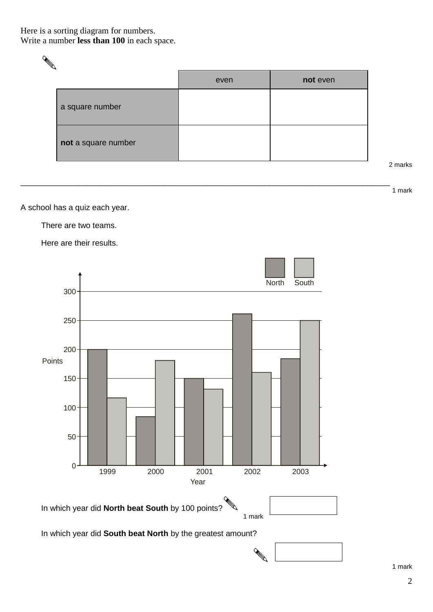## Here is a sorting diagram for numbers. Write a number **less than 100** in each space.

|                     | even | not even |
|---------------------|------|----------|
| a square number     |      |          |
| not a square number |      |          |

\_\_\_\_\_\_\_\_\_\_\_\_\_\_\_\_\_\_\_\_\_\_\_\_\_\_\_\_\_\_\_\_\_\_\_\_\_\_\_\_\_\_\_\_\_\_\_\_\_\_\_\_\_\_\_\_\_\_\_\_\_\_\_\_\_\_\_\_\_\_\_\_\_\_\_\_\_\_\_\_\_\_\_

arks

1 mark

A school has a quiz each year.

There are two teams.

Here are their results.



In which year did **South beat North** by the greatest amount?

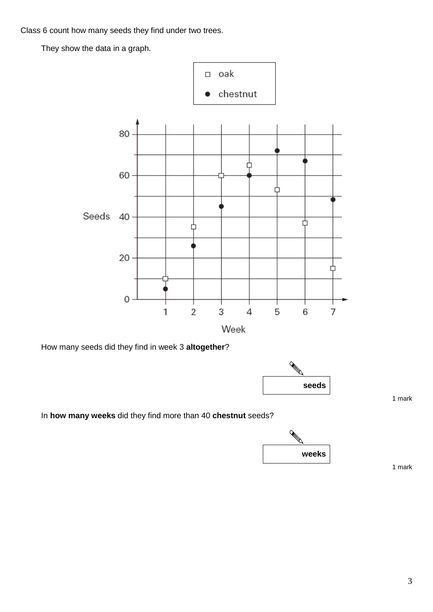Class 6 count how many seeds they find under two trees.

They show the data in a graph.



How many seeds did they find in week 3 **altogether**?



In **how many weeks** did they find more than 40 **chestnut** seeds?



1 mark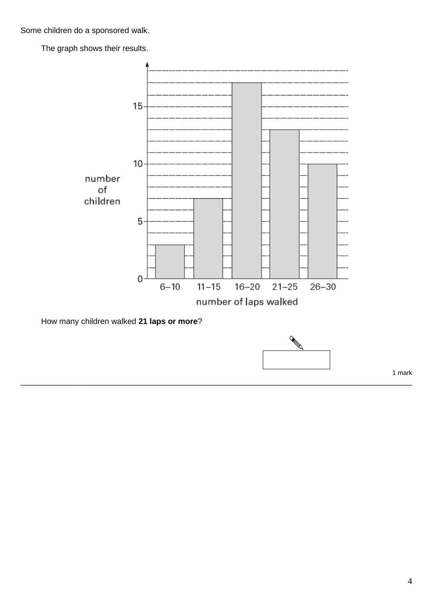Some children do a sponsored walk.

The graph shows their results.



\_\_\_\_\_\_\_\_\_\_\_\_\_\_\_\_\_\_\_\_\_\_\_\_\_\_\_\_\_\_\_\_\_\_\_\_\_\_\_\_\_\_\_\_\_\_\_\_\_\_\_\_\_\_\_\_\_\_\_\_\_\_\_\_\_\_\_\_\_\_\_\_\_\_\_\_\_\_\_\_\_\_\_\_\_\_\_\_

How many children walked **21 laps or more**?

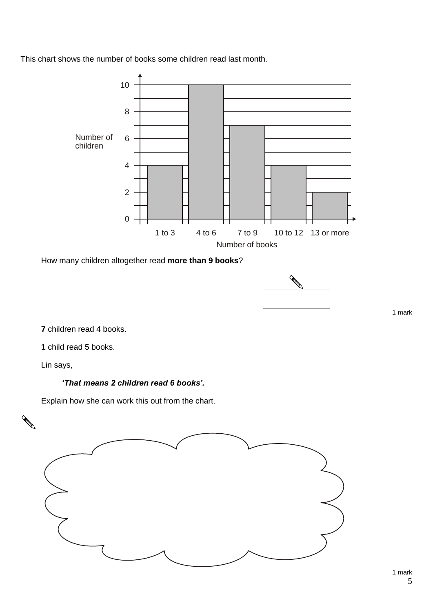This chart shows the number of books some children read last month.



How many children altogether read **more than 9 books**?



1 mark

**7** children read 4 books.

**1** child read 5 books.

Lin says,

## *'That means 2 children read 6 books'.*

Explain how she can work this out from the chart.

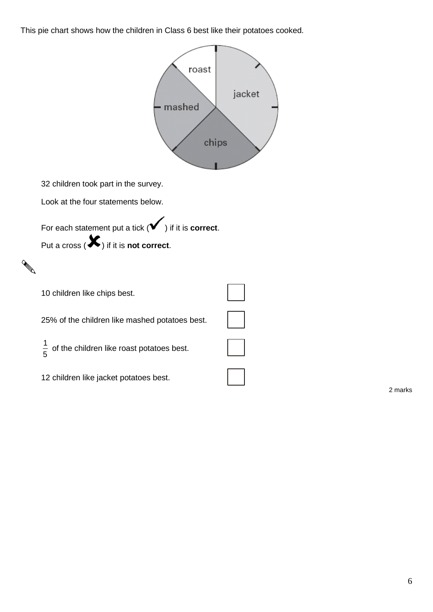This pie chart shows how the children in Class 6 best like their potatoes cooked.



2 marks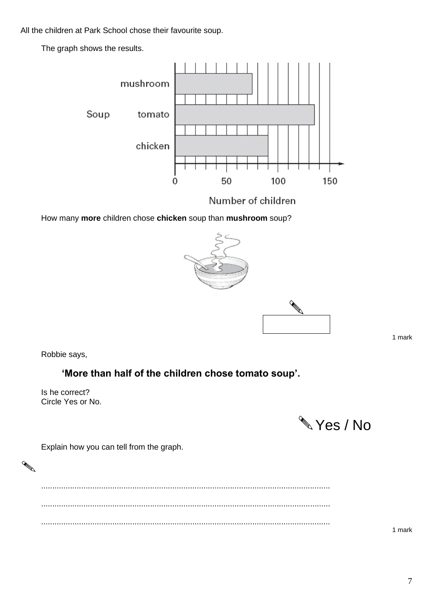All the children at Park School chose their favourite soup.

The graph shows the results.



Number of children

How many **more** children chose **chicken** soup than **mushroom** soup?



1 mark

Robbie says,

## **'More than half of the children chose tomato soup'.**

Is he correct? Circle Yes or No.

**Wes** / No

Explain how you can tell from the graph.

.................................................................................................................................. .................................................................................................................................. ..................................................................................................................................